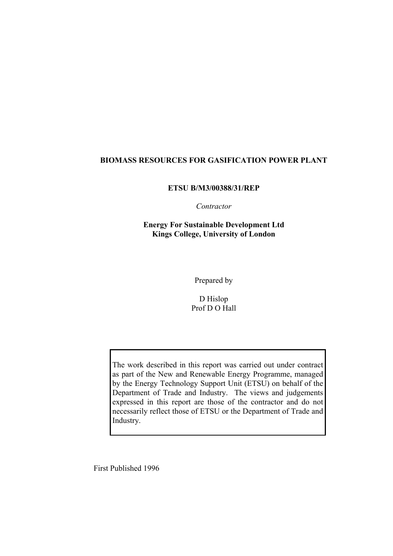### **BIOMASS RESOURCES FOR GASIFICATION POWER PLANT**

#### **ETSU B/M3/00388/31/REP**

### *Contractor*

**Energy For Sustainable Development Ltd Kings College, University of London** 

Prepared by

D Hislop Prof D O Hall

The work described in this report was carried out under contract as part of the New and Renewable Energy Programme, managed by the Energy Technology Support Unit (ETSU) on behalf of the Department of Trade and Industry. The views and judgements expressed in this report are those of the contractor and do not necessarily reflect those of ETSU or the Department of Trade and Industry.

First Published 1996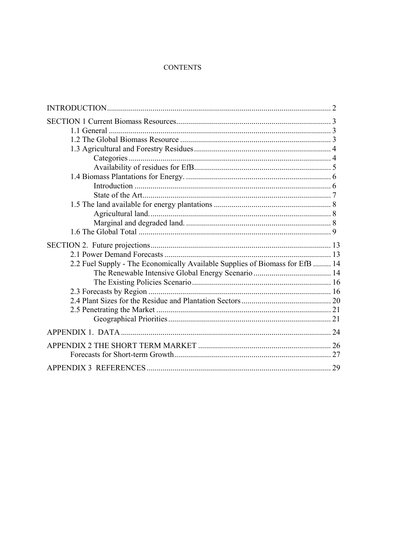#### **CONTENTS**

| 2.2 Fuel Supply - The Economically Available Supplies of Biomass for EfB  14 |
|------------------------------------------------------------------------------|
|                                                                              |
|                                                                              |
|                                                                              |
|                                                                              |
|                                                                              |
|                                                                              |
|                                                                              |
|                                                                              |
|                                                                              |
|                                                                              |
|                                                                              |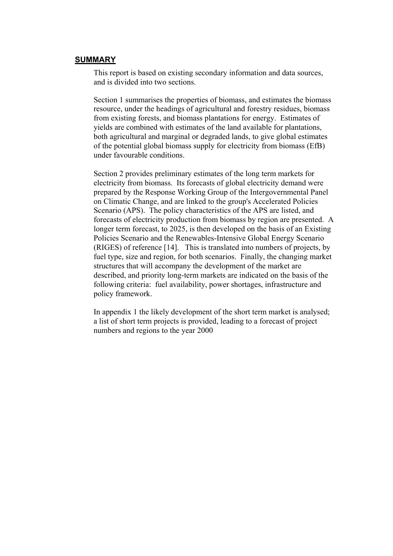#### **SUMMARY**

This report is based on existing secondary information and data sources, and is divided into two sections.

Section 1 summarises the properties of biomass, and estimates the biomass resource, under the headings of agricultural and forestry residues, biomass from existing forests, and biomass plantations for energy. Estimates of yields are combined with estimates of the land available for plantations, both agricultural and marginal or degraded lands, to give global estimates of the potential global biomass supply for electricity from biomass (EfB) under favourable conditions.

Section 2 provides preliminary estimates of the long term markets for electricity from biomass. Its forecasts of global electricity demand were prepared by the Response Working Group of the Intergovernmental Panel on Climatic Change, and are linked to the group's Accelerated Policies Scenario (APS). The policy characteristics of the APS are listed, and forecasts of electricity production from biomass by region are presented. A longer term forecast, to 2025, is then developed on the basis of an Existing Policies Scenario and the Renewables-Intensive Global Energy Scenario (RIGES) of reference [14]. This is translated into numbers of projects, by fuel type, size and region, for both scenarios. Finally, the changing market structures that will accompany the development of the market are described, and priority long-term markets are indicated on the basis of the following criteria: fuel availability, power shortages, infrastructure and policy framework.

In appendix 1 the likely development of the short term market is analysed; a list of short term projects is provided, leading to a forecast of project numbers and regions to the year 2000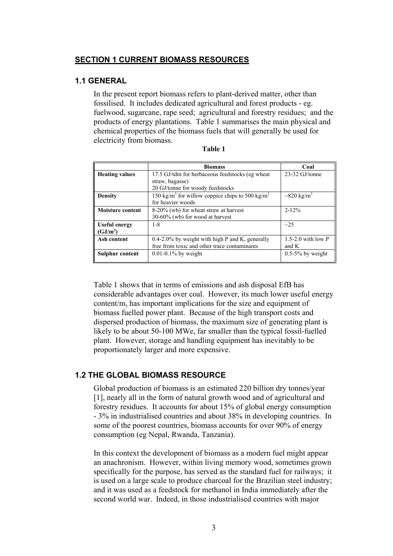### **SECTION 1 CURRENT BIOMASS RESOURCES**

### **1.1 GENERAL**

In the present report biomass refers to plant-derived matter, other than fossilised. It includes dedicated agricultural and forest products - eg. fuelwood, sugarcane, rape seed; agricultural and forestry residues; and the products of energy plantations. Table 1 summarises the main physical and chemical properties of the biomass fuels that will generally be used for electricity from biomass.

|                         | <b>Biomass</b>                                                          | Coal                         |
|-------------------------|-------------------------------------------------------------------------|------------------------------|
| <b>Heating values</b>   | 17.5 GJ/tdm for herbaceous feedstocks (eg wheat)                        | 23-32 GJ/tonne               |
|                         | straw, bagasse)                                                         |                              |
|                         | 20 GJ/tonne for woody feedstocks                                        |                              |
| <b>Density</b>          | 150 kg/m <sup>3</sup> for willow coppice chips to 500 kg/m <sup>3</sup> | $\sim$ 820 kg/m <sup>3</sup> |
|                         | for heavier woods                                                       |                              |
| <b>Moisture content</b> | 8-20% (wb) for wheat straw at harvest                                   | $2 - 12%$                    |
|                         | $30-60\%$ (wb) for wood at harvest                                      |                              |
| <b>Useful energy</b>    | $1 - 8$                                                                 | $\sim$ 25                    |
| (GJ/m <sup>3</sup> )    |                                                                         |                              |
| Ash content             | $0.4$ -2.0% by weight with high P and K, generally                      | $1.5-2.0$ with low P         |
|                         | free from toxic and other trace contaminants                            | and K                        |
| Sulphur content         | $0.01 - 0.1\%$ by weight                                                | $0.5-5\%$ by weight          |
|                         |                                                                         |                              |

| н<br>,, | וח |  |
|---------|----|--|
|         |    |  |

Table 1 shows that in terms of emissions and ash disposal EfB has considerable advantages over coal. However, its much lower useful energy content/ $m<sub>3</sub>$  has important implications for the size and equipment of biomass fuelled power plant. Because of the high transport costs and dispersed production of biomass, the maximum size of generating plant is likely to be about 50-100 MWe, far smaller than the typical fossil-fuelled plant. However, storage and handling equipment has inevitably to be proportionately larger and more expensive.

# **1.2 THE GLOBAL BIOMASS RESOURCE**

Global production of biomass is an estimated 220 billion dry tonnes/year [1], nearly all in the form of natural growth wood and of agricultural and forestry residues. It accounts for about 15% of global energy consumption - 3% in industrialised countries and about 38% in developing countries. In some of the poorest countries, biomass accounts for over 90% of energy consumption (eg Nepal, Rwanda, Tanzania).

In this context the development of biomass as a modern fuel might appear an anachronism. However, within living memory wood, sometimes grown specifically for the purpose, has served as the standard fuel for railways; it is used on a large scale to produce charcoal for the Brazilian steel industry; and it was used as a feedstock for methanol in India immediately after the second world war. Indeed, in those industrialised countries with major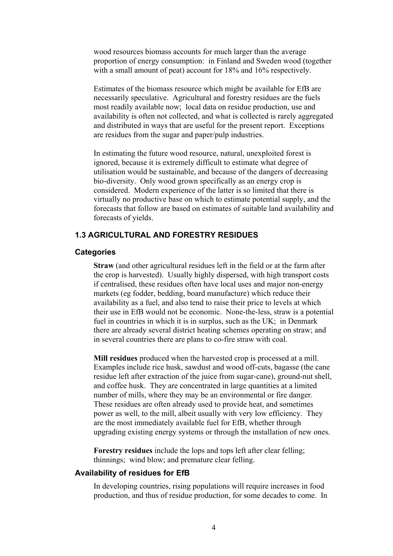wood resources biomass accounts for much larger than the average proportion of energy consumption: in Finland and Sweden wood (together with a small amount of peat) account for 18% and 16% respectively.

Estimates of the biomass resource which might be available for EfB are necessarily speculative. Agricultural and forestry residues are the fuels most readily available now; local data on residue production, use and availability is often not collected, and what is collected is rarely aggregated and distributed in ways that are useful for the present report. Exceptions are residues from the sugar and paper/pulp industries.

In estimating the future wood resource, natural, unexploited forest is ignored, because it is extremely difficult to estimate what degree of utilisation would be sustainable, and because of the dangers of decreasing bio-diversity. Only wood grown specifically as an energy crop is considered. Modern experience of the latter is so limited that there is virtually no productive base on which to estimate potential supply, and the forecasts that follow are based on estimates of suitable land availability and forecasts of yields.

### **1.3 AGRICULTURAL AND FORESTRY RESIDUES**

#### **Categories**

**Straw** (and other agricultural residues left in the field or at the farm after the crop is harvested). Usually highly dispersed, with high transport costs if centralised, these residues often have local uses and major non-energy markets (eg fodder, bedding, board manufacture) which reduce their availability as a fuel, and also tend to raise their price to levels at which their use in EfB would not be economic. None-the-less, straw is a potential fuel in countries in which it is in surplus, such as the UK; in Denmark there are already several district heating schemes operating on straw; and in several countries there are plans to co-fire straw with coal.

**Mill residues** produced when the harvested crop is processed at a mill. Examples include rice husk, sawdust and wood off-cuts, bagasse (the cane residue left after extraction of the juice from sugar-cane), ground-nut shell, and coffee husk. They are concentrated in large quantities at a limited number of mills, where they may be an environmental or fire danger. These residues are often already used to provide heat, and sometimes power as well, to the mill, albeit usually with very low efficiency. They are the most immediately available fuel for EfB, whether through upgrading existing energy systems or through the installation of new ones.

**Forestry residues** include the lops and tops left after clear felling; thinnings; wind blow; and premature clear felling.

#### **Availability of residues for EfB**

In developing countries, rising populations will require increases in food production, and thus of residue production, for some decades to come. In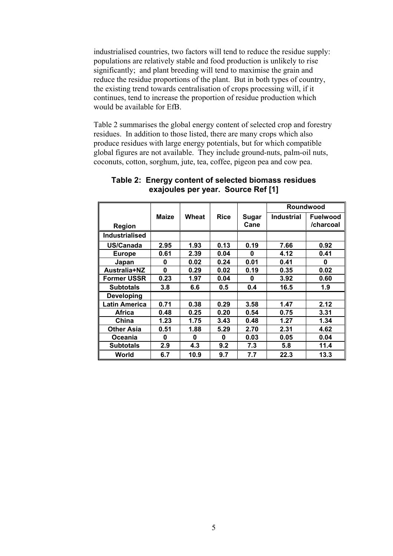industrialised countries, two factors will tend to reduce the residue supply: populations are relatively stable and food production is unlikely to rise significantly; and plant breeding will tend to maximise the grain and reduce the residue proportions of the plant. But in both types of country, the existing trend towards centralisation of crops processing will, if it continues, tend to increase the proportion of residue production which would be available for EfB.

Table 2 summarises the global energy content of selected crop and forestry residues. In addition to those listed, there are many crops which also produce residues with large energy potentials, but for which compatible global figures are not available. They include ground-nuts, palm-oil nuts, coconuts, cotton, sorghum, jute, tea, coffee, pigeon pea and cow pea.

|                       |       |       |             |       |                   | Roundwood       |
|-----------------------|-------|-------|-------------|-------|-------------------|-----------------|
|                       | Maize | Wheat | <b>Rice</b> | Sugar | <b>Industrial</b> | <b>Fuelwood</b> |
| Region                |       |       |             | Cane  |                   | /charcoal       |
| <b>Industrialised</b> |       |       |             |       |                   |                 |
| US/Canada             | 2.95  | 1.93  | 0.13        | 0.19  | 7.66              | 0.92            |
| <b>Europe</b>         | 0.61  | 2.39  | 0.04        | 0     | 4.12              | 0.41            |
| Japan                 | 0     | 0.02  | 0.24        | 0.01  | 0.41              | 0               |
| Australia+NZ          | 0     | 0.29  | 0.02        | 0.19  | 0.35              | 0.02            |
| <b>Former USSR</b>    | 0.23  | 1.97  | 0.04        | 0     | 3.92              | 0.60            |
| <b>Subtotals</b>      | 3.8   | 6.6   | 0.5         | 0.4   | 16.5              | 1.9             |
| <b>Developing</b>     |       |       |             |       |                   |                 |
| <b>Latin America</b>  | 0.71  | 0.38  | 0.29        | 3.58  | 1.47              | 2.12            |
| Africa                | 0.48  | 0.25  | 0.20        | 0.54  | 0.75              | 3.31            |
| China                 | 1.23  | 1.75  | 3.43        | 0.48  | 1.27              | 1.34            |
| <b>Other Asia</b>     | 0.51  | 1.88  | 5.29        | 2.70  | 2.31              | 4.62            |
| Oceania               | 0     | 0     | 0           | 0.03  | 0.05              | 0.04            |
| <b>Subtotals</b>      | 2.9   | 4.3   | 9.2         | 7.3   | 5.8               | 11.4            |
| World                 | 6.7   | 10.9  | 9.7         | 7.7   | 22.3              | 13.3            |

### **Table 2: Energy content of selected biomass residues exajoules per year. Source Ref [1]**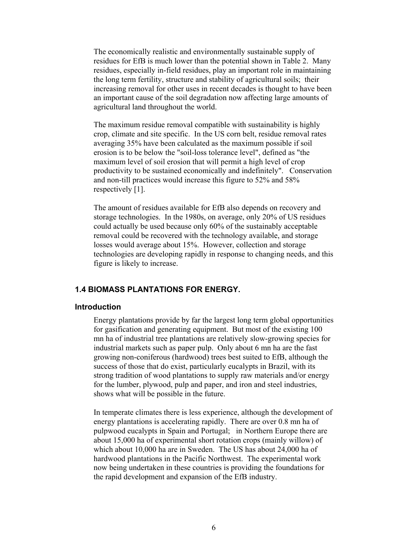The economically realistic and environmentally sustainable supply of residues for EfB is much lower than the potential shown in Table 2. Many residues, especially in-field residues, play an important role in maintaining the long term fertility, structure and stability of agricultural soils; their increasing removal for other uses in recent decades is thought to have been an important cause of the soil degradation now affecting large amounts of agricultural land throughout the world.

The maximum residue removal compatible with sustainability is highly crop, climate and site specific. In the US corn belt, residue removal rates averaging 35% have been calculated as the maximum possible if soil erosion is to be below the "soil-loss tolerance level", defined as "the maximum level of soil erosion that will permit a high level of crop productivity to be sustained economically and indefinitely". Conservation and non-till practices would increase this figure to 52% and 58% respectively [1].

The amount of residues available for EfB also depends on recovery and storage technologies. In the 1980s, on average, only 20% of US residues could actually be used because only 60% of the sustainably acceptable removal could be recovered with the technology available, and storage losses would average about 15%. However, collection and storage technologies are developing rapidly in response to changing needs, and this figure is likely to increase.

# **1.4 BIOMASS PLANTATIONS FOR ENERGY.**

#### **Introduction**

Energy plantations provide by far the largest long term global opportunities for gasification and generating equipment. But most of the existing 100 mn ha of industrial tree plantations are relatively slow-growing species for industrial markets such as paper pulp. Only about 6 mn ha are the fast growing non-coniferous (hardwood) trees best suited to EfB, although the success of those that do exist, particularly eucalypts in Brazil, with its strong tradition of wood plantations to supply raw materials and/or energy for the lumber, plywood, pulp and paper, and iron and steel industries, shows what will be possible in the future.

In temperate climates there is less experience, although the development of energy plantations is accelerating rapidly. There are over 0.8 mn ha of pulpwood eucalypts in Spain and Portugal; in Northern Europe there are about 15,000 ha of experimental short rotation crops (mainly willow) of which about 10,000 ha are in Sweden. The US has about 24,000 ha of hardwood plantations in the Pacific Northwest. The experimental work now being undertaken in these countries is providing the foundations for the rapid development and expansion of the EfB industry.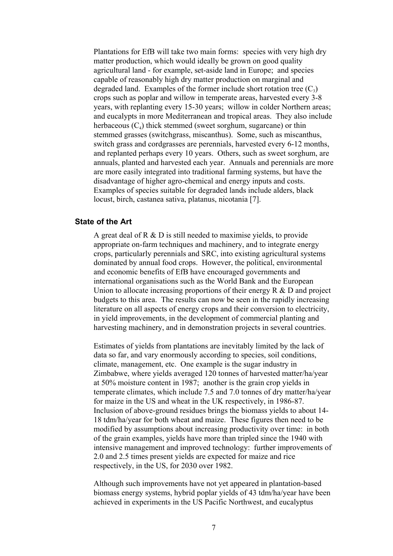Plantations for EfB will take two main forms: species with very high dry matter production, which would ideally be grown on good quality agricultural land - for example, set-aside land in Europe; and species capable of reasonably high dry matter production on marginal and degraded land. Examples of the former include short rotation tree  $(C_3)$ crops such as poplar and willow in temperate areas, harvested every 3-8 years, with replanting every 15-30 years; willow in colder Northern areas; and eucalypts in more Mediterranean and tropical areas. They also include herbaceous  $(C_4)$  thick stemmed (sweet sorghum, sugarcane) or thin stemmed grasses (switchgrass, miscanthus). Some, such as miscanthus, switch grass and cordgrasses are perennials, harvested every 6-12 months, and replanted perhaps every 10 years. Others, such as sweet sorghum, are annuals, planted and harvested each year. Annuals and perennials are more are more easily integrated into traditional farming systems, but have the disadvantage of higher agro-chemical and energy inputs and costs. Examples of species suitable for degraded lands include alders, black locust, birch, castanea sativa, platanus, nicotania [7].

#### **State of the Art**

A great deal of R & D is still needed to maximise yields, to provide appropriate on-farm techniques and machinery, and to integrate energy crops, particularly perennials and SRC, into existing agricultural systems dominated by annual food crops. However, the political, environmental and economic benefits of EfB have encouraged governments and international organisations such as the World Bank and the European Union to allocate increasing proportions of their energy R & D and project budgets to this area. The results can now be seen in the rapidly increasing literature on all aspects of energy crops and their conversion to electricity, in yield improvements, in the development of commercial planting and harvesting machinery, and in demonstration projects in several countries.

Estimates of yields from plantations are inevitably limited by the lack of data so far, and vary enormously according to species, soil conditions, climate, management, etc. One example is the sugar industry in Zimbabwe, where yields averaged 120 tonnes of harvested matter/ha/year at 50% moisture content in 1987; another is the grain crop yields in temperate climates, which include 7.5 and 7.0 tonnes of dry matter/ha/year for maize in the US and wheat in the UK respectively, in 1986-87. Inclusion of above-ground residues brings the biomass yields to about 14- 18 tdm/ha/year for both wheat and maize. These figures then need to be modified by assumptions about increasing productivity over time: in both of the grain examples, yields have more than tripled since the 1940 with intensive management and improved technology: further improvements of 2.0 and 2.5 times present yields are expected for maize and rice respectively, in the US, for 2030 over 1982.

Although such improvements have not yet appeared in plantation-based biomass energy systems, hybrid poplar yields of 43 tdm/ha/year have been achieved in experiments in the US Pacific Northwest, and eucalyptus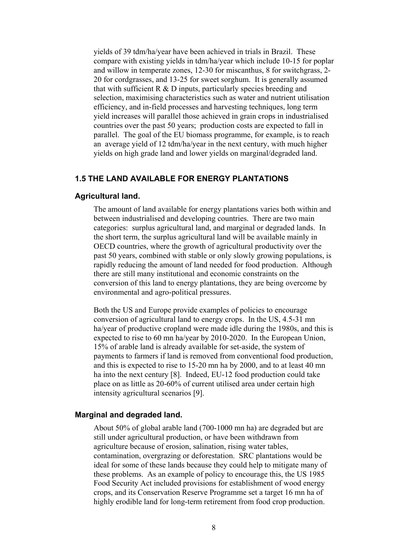yields of 39 tdm/ha/year have been achieved in trials in Brazil. These compare with existing yields in tdm/ha/year which include 10-15 for poplar and willow in temperate zones, 12-30 for miscanthus, 8 for switchgrass, 2- 20 for cordgrasses, and 13-25 for sweet sorghum. It is generally assumed that with sufficient  $R \& D$  inputs, particularly species breeding and selection, maximising characteristics such as water and nutrient utilisation efficiency, and in-field processes and harvesting techniques, long term yield increases will parallel those achieved in grain crops in industrialised countries over the past 50 years; production costs are expected to fall in parallel. The goal of the EU biomass programme, for example, is to reach an average yield of 12 tdm/ha/year in the next century, with much higher yields on high grade land and lower yields on marginal/degraded land.

# **1.5 THE LAND AVAILABLE FOR ENERGY PLANTATIONS**

#### **Agricultural land.**

The amount of land available for energy plantations varies both within and between industrialised and developing countries. There are two main categories: surplus agricultural land, and marginal or degraded lands. In the short term, the surplus agricultural land will be available mainly in OECD countries, where the growth of agricultural productivity over the past 50 years, combined with stable or only slowly growing populations, is rapidly reducing the amount of land needed for food production. Although there are still many institutional and economic constraints on the conversion of this land to energy plantations, they are being overcome by environmental and agro-political pressures.

Both the US and Europe provide examples of policies to encourage conversion of agricultural land to energy crops. In the US, 4.5-31 mn ha/year of productive cropland were made idle during the 1980s, and this is expected to rise to 60 mn ha/year by 2010-2020. In the European Union, 15% of arable land is already available for set-aside, the system of payments to farmers if land is removed from conventional food production, and this is expected to rise to 15-20 mn ha by 2000, and to at least 40 mn ha into the next century [8]. Indeed, EU-12 food production could take place on as little as 20-60% of current utilised area under certain high intensity agricultural scenarios [9].

#### **Marginal and degraded land.**

About 50% of global arable land (700-1000 mn ha) are degraded but are still under agricultural production, or have been withdrawn from agriculture because of erosion, salination, rising water tables, contamination, overgrazing or deforestation. SRC plantations would be ideal for some of these lands because they could help to mitigate many of these problems. As an example of policy to encourage this, the US 1985 Food Security Act included provisions for establishment of wood energy crops, and its Conservation Reserve Programme set a target 16 mn ha of highly erodible land for long-term retirement from food crop production.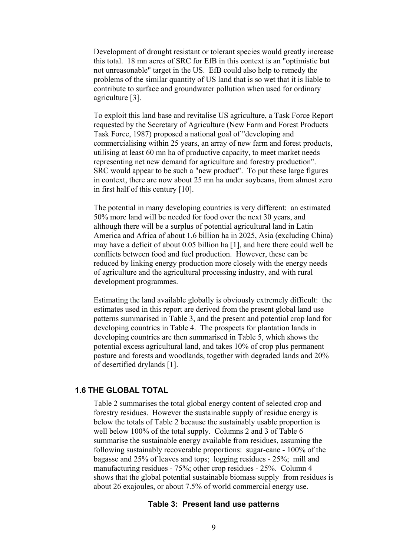Development of drought resistant or tolerant species would greatly increase this total. 18 mn acres of SRC for EfB in this context is an "optimistic but not unreasonable" target in the US. EfB could also help to remedy the problems of the similar quantity of US land that is so wet that it is liable to contribute to surface and groundwater pollution when used for ordinary agriculture [3].

To exploit this land base and revitalise US agriculture, a Task Force Report requested by the Secretary of Agriculture (New Farm and Forest Products Task Force, 1987) proposed a national goal of "developing and commercialising within 25 years, an array of new farm and forest products, utilising at least 60 mn ha of productive capacity, to meet market needs representing net new demand for agriculture and forestry production". SRC would appear to be such a "new product". To put these large figures in context, there are now about 25 mn ha under soybeans, from almost zero in first half of this century [10].

The potential in many developing countries is very different: an estimated 50% more land will be needed for food over the next 30 years, and although there will be a surplus of potential agricultural land in Latin America and Africa of about 1.6 billion ha in 2025, Asia (excluding China) may have a deficit of about 0.05 billion ha [1], and here there could well be conflicts between food and fuel production. However, these can be reduced by linking energy production more closely with the energy needs of agriculture and the agricultural processing industry, and with rural development programmes.

Estimating the land available globally is obviously extremely difficult: the estimates used in this report are derived from the present global land use patterns summarised in Table 3, and the present and potential crop land for developing countries in Table 4. The prospects for plantation lands in developing countries are then summarised in Table 5, which shows the potential excess agricultural land, and takes 10% of crop plus permanent pasture and forests and woodlands, together with degraded lands and 20% of desertified drylands [1].

#### **1.6 THE GLOBAL TOTAL**

Table 2 summarises the total global energy content of selected crop and forestry residues. However the sustainable supply of residue energy is below the totals of Table 2 because the sustainably usable proportion is well below 100% of the total supply. Columns 2 and 3 of Table 6 summarise the sustainable energy available from residues, assuming the following sustainably recoverable proportions: sugar-cane - 100% of the bagasse and 25% of leaves and tops; logging residues - 25%; mill and manufacturing residues - 75%; other crop residues - 25%. Column 4 shows that the global potential sustainable biomass supply from residues is about 26 exajoules, or about 7.5% of world commercial energy use.

### **Table 3: Present land use patterns**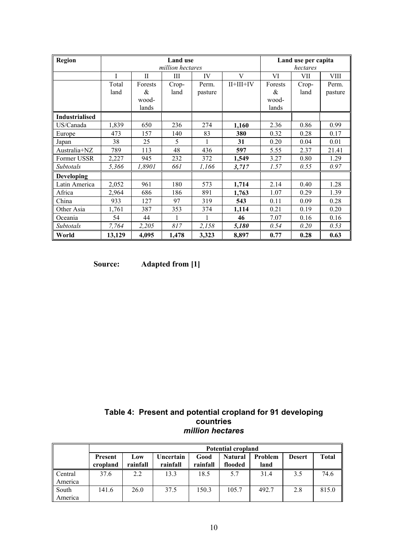| <b>Region</b>         |        |              | <b>Land use</b><br>million hectares |         |             |         | Land use per capita<br>hectares |         |
|-----------------------|--------|--------------|-------------------------------------|---------|-------------|---------|---------------------------------|---------|
|                       | T      | $\mathbf{I}$ | Ш                                   | IV      | V           | VI      | VII                             | VIII    |
|                       | Total  | Forests      | Crop-                               | Perm.   | $II+III+IV$ | Forests | Crop-                           | Perm.   |
|                       | land   | &            | land                                | pasture |             | &       | land                            | pasture |
|                       |        | wood-        |                                     |         |             | wood-   |                                 |         |
|                       |        | lands        |                                     |         |             | lands   |                                 |         |
| <b>Industrialised</b> |        |              |                                     |         |             |         |                                 |         |
| US/Canada             | 1,839  | 650          | 236                                 | 274     | 1,160       | 2.36    | 0.86                            | 0.99    |
| Europe                | 473    | 157          | 140                                 | 83      | 380         | 0.32    | 0.28                            | 0.17    |
| Japan                 | 38     | 25           | 5                                   |         | 31          | 0.20    | 0.04                            | 0.01    |
| Australia+NZ          | 789    | 113          | 48                                  | 436     | 597         | 5.55    | 2.37                            | 21.41   |
| Former USSR           | 2,227  | 945          | 232                                 | 372     | 1,549       | 3.27    | 0.80                            | 1.29    |
| Subtotals             | 5,366  | 1,8901       | 661                                 | 1,166   | 3,717       | 1.57    | 0.55                            | 0.97    |
| <b>Developing</b>     |        |              |                                     |         |             |         |                                 |         |
| Latin America         | 2,052  | 961          | 180                                 | 573     | 1,714       | 2.14    | 0.40                            | 1.28    |
| Africa                | 2,964  | 686          | 186                                 | 891     | 1,763       | 1.07    | 0.29                            | 1.39    |
| China                 | 933    | 127          | 97                                  | 319     | 543         | 0.11    | 0.09                            | 0.28    |
| Other Asia            | 1,761  | 387          | 353                                 | 374     | 1,114       | 0.21    | 0.19                            | 0.20    |
| Oceania               | 54     | 44           |                                     |         | 46          | 7.07    | 0.16                            | 0.16    |
| Subtotals             | 7,764  | 2,205        | 817                                 | 2,158   | 5,180       | 0.54    | 0.20                            | 0.53    |
| World                 | 13,129 | 4,095        | 1,478                               | 3,323   | 8,897       | 0.77    | 0.28                            | 0.63    |

**Source: Adapted from [1]** 

| Table 4: Present and potential cropland for 91 developing |
|-----------------------------------------------------------|
| countries                                                 |
| million hectares                                          |

|                    | <b>Potential cropland</b> |                 |                       |                  |                           |                 |               |              |
|--------------------|---------------------------|-----------------|-----------------------|------------------|---------------------------|-----------------|---------------|--------------|
|                    | Present<br>cropland       | Low<br>rainfall | Uncertain<br>rainfall | Good<br>rainfall | <b>Natural</b><br>flooded | Problem<br>land | <b>Desert</b> | <b>Total</b> |
| Central<br>America | 37.6                      | 2.2             | 13.3                  | 18.5             | 5.7                       | 31.4            | 3.5           | 74.6         |
| South<br>America   | 141.6                     | 26.0            | 37.5                  | 150.3            | 105.7                     | 492.7           | 2.8           | 815.0        |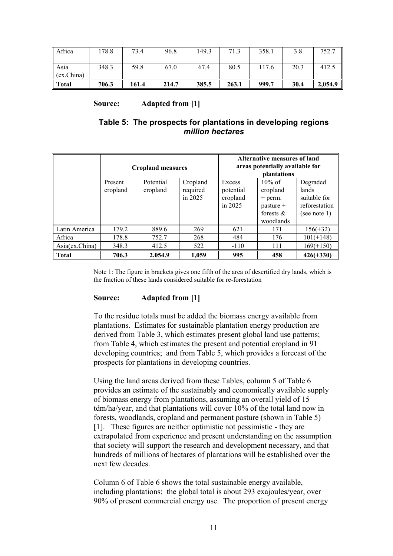| Africa             | 178.8 | 73.4  | 96.8  | 149.3 | 71.3  | 358.1 | 3.8  | 752.7   |
|--------------------|-------|-------|-------|-------|-------|-------|------|---------|
| Asia<br>(ex.China) | 348.3 | 59.8  | 67.0  | 67.4  | 80.5  | 117.6 | 20.3 | 412.5   |
| Total              | 706.3 | 161.4 | 214.7 | 385.5 | 263.1 | 999.7 | 30.4 | 2,054.9 |

### **Source: Adapted from [1]**

# **Table 5: The prospects for plantations in developing regions**  *million hectares*

|                |                     | <b>Cropland measures</b> |                                 | <b>Alternative measures of land</b><br>areas potentially available for<br>plantations |                                                                                |                                                                    |
|----------------|---------------------|--------------------------|---------------------------------|---------------------------------------------------------------------------------------|--------------------------------------------------------------------------------|--------------------------------------------------------------------|
|                | Present<br>cropland | Potential<br>cropland    | Cropland<br>required<br>in 2025 | Excess<br>potential<br>cropland<br>in 2025                                            | $10\%$ of<br>cropland<br>$+$ perm.<br>$pasture +$<br>forests $\&$<br>woodlands | Degraded<br>lands<br>suitable for<br>reforestation<br>(see note 1) |
| Latin America  | 179.2               | 889.6                    | 269                             | 621                                                                                   | 171                                                                            | $156(+32)$                                                         |
| Africa         | 178.8               | 752.7                    | 268                             | 484                                                                                   | 176                                                                            | $101(+148)$                                                        |
| Asia(ex.China) | 348.3               | 412.5                    | 522                             | $-110$                                                                                | 111                                                                            | $169(+150)$                                                        |
| <b>Total</b>   | 706.3               | 2,054.9                  | 1,059                           | 995                                                                                   | 458                                                                            | $426(+330)$                                                        |

Note 1: The figure in brackets gives one fifth of the area of desertified dry lands, which is the fraction of these lands considered suitable for re-forestation

### **Source: Adapted from [1]**

To the residue totals must be added the biomass energy available from plantations. Estimates for sustainable plantation energy production are derived from Table 3, which estimates present global land use patterns; from Table 4, which estimates the present and potential cropland in 91 developing countries; and from Table 5, which provides a forecast of the prospects for plantations in developing countries.

Using the land areas derived from these Tables, column 5 of Table 6 provides an estimate of the sustainably and economically available supply of biomass energy from plantations, assuming an overall yield of 15 tdm/ha/year, and that plantations will cover 10% of the total land now in forests, woodlands, cropland and permanent pasture (shown in Table 5) [1]. These figures are neither optimistic not pessimistic - they are extrapolated from experience and present understanding on the assumption that society will support the research and development necessary, and that hundreds of millions of hectares of plantations will be established over the next few decades.

Column 6 of Table 6 shows the total sustainable energy available, including plantations: the global total is about 293 exajoules/year, over 90% of present commercial energy use. The proportion of present energy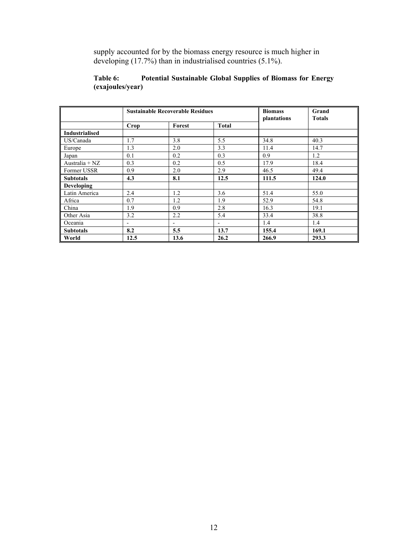supply accounted for by the biomass energy resource is much higher in developing (17.7%) than in industrialised countries (5.1%).

| Table 6:         | Potential Sustainable Global Supplies of Biomass for Energy |  |  |
|------------------|-------------------------------------------------------------|--|--|
| (exajoules/year) |                                                             |  |  |

|                       | <b>Sustainable Recoverable Residues</b> |                          |                          | <b>Biomass</b><br>plantations | Grand<br><b>Totals</b> |
|-----------------------|-----------------------------------------|--------------------------|--------------------------|-------------------------------|------------------------|
|                       | Crop                                    | Forest                   | <b>Total</b>             |                               |                        |
| <b>Industrialised</b> |                                         |                          |                          |                               |                        |
| US/Canada             | 1.7                                     | 3.8                      | 5.5                      | 34.8                          | 40.3                   |
| Europe                | 1.3                                     | 2.0                      | 3.3                      | 11.4                          | 14.7                   |
| Japan                 | 0.1                                     | 0.2                      | 0.3                      | 0.9                           | 1.2                    |
| Australia + $NZ$      | 0.3                                     | 0.2                      | 0.5                      | 17.9                          | 18.4                   |
| Former USSR           | 0.9                                     | 2.0                      | 2.9                      | 46.5                          | 49.4                   |
| <b>Subtotals</b>      | 4.3                                     | 8.1                      | 12.5                     | 111.5                         | 124.0                  |
| <b>Developing</b>     |                                         |                          |                          |                               |                        |
| Latin America         | 2.4                                     | 1.2                      | 3.6                      | 51.4                          | 55.0                   |
| Africa                | 0.7                                     | 1.2                      | 1.9                      | 52.9                          | 54.8                   |
| China                 | 1.9                                     | 0.9                      | 2.8                      | 16.3                          | 19.1                   |
| Other Asia            | 3.2                                     | 2.2                      | 5.4                      | 33.4                          | 38.8                   |
| Oceania               | -                                       | $\overline{\phantom{a}}$ | $\overline{\phantom{0}}$ | 1.4                           | 1.4                    |
| <b>Subtotals</b>      | 8.2                                     | 5.5                      | 13.7                     | 155.4                         | 169.1                  |
| World                 | 12.5                                    | 13.6                     | 26.2                     | 266.9                         | 293.3                  |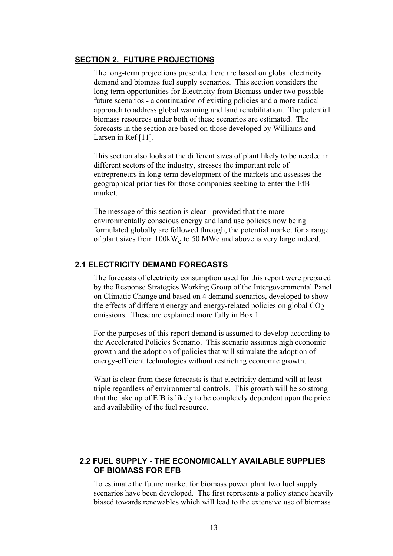#### **SECTION 2. FUTURE PROJECTIONS**

The long-term projections presented here are based on global electricity demand and biomass fuel supply scenarios. This section considers the long-term opportunities for Electricity from Biomass under two possible future scenarios - a continuation of existing policies and a more radical approach to address global warming and land rehabilitation. The potential biomass resources under both of these scenarios are estimated. The forecasts in the section are based on those developed by Williams and Larsen in Ref [11].

This section also looks at the different sizes of plant likely to be needed in different sectors of the industry, stresses the important role of entrepreneurs in long-term development of the markets and assesses the geographical priorities for those companies seeking to enter the EfB market.

The message of this section is clear - provided that the more environmentally conscious energy and land use policies now being formulated globally are followed through, the potential market for a range of plant sizes from 100kW<sub>e</sub> to 50 MWe and above is very large indeed.

# **2.1 ELECTRICITY DEMAND FORECASTS**

The forecasts of electricity consumption used for this report were prepared by the Response Strategies Working Group of the Intergovernmental Panel on Climatic Change and based on 4 demand scenarios, developed to show the effects of different energy and energy-related policies on global  $CO<sub>2</sub>$ emissions. These are explained more fully in Box 1.

For the purposes of this report demand is assumed to develop according to the Accelerated Policies Scenario. This scenario assumes high economic growth and the adoption of policies that will stimulate the adoption of energy-efficient technologies without restricting economic growth.

What is clear from these forecasts is that electricity demand will at least triple regardless of environmental controls. This growth will be so strong that the take up of EfB is likely to be completely dependent upon the price and availability of the fuel resource.

# **2.2 FUEL SUPPLY - THE ECONOMICALLY AVAILABLE SUPPLIES OF BIOMASS FOR EFB**

To estimate the future market for biomass power plant two fuel supply scenarios have been developed. The first represents a policy stance heavily biased towards renewables which will lead to the extensive use of biomass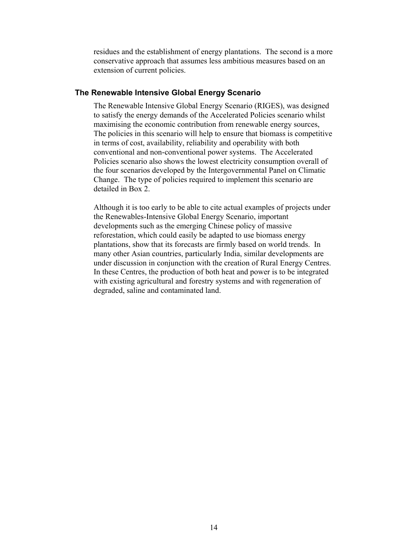residues and the establishment of energy plantations. The second is a more conservative approach that assumes less ambitious measures based on an extension of current policies.

### **The Renewable Intensive Global Energy Scenario**

The Renewable Intensive Global Energy Scenario (RIGES), was designed to satisfy the energy demands of the Accelerated Policies scenario whilst maximising the economic contribution from renewable energy sources, The policies in this scenario will help to ensure that biomass is competitive in terms of cost, availability, reliability and operability with both conventional and non-conventional power systems. The Accelerated Policies scenario also shows the lowest electricity consumption overall of the four scenarios developed by the Intergovernmental Panel on Climatic Change. The type of policies required to implement this scenario are detailed in Box 2.

Although it is too early to be able to cite actual examples of projects under the Renewables-Intensive Global Energy Scenario, important developments such as the emerging Chinese policy of massive reforestation, which could easily be adapted to use biomass energy plantations, show that its forecasts are firmly based on world trends. In many other Asian countries, particularly India, similar developments are under discussion in conjunction with the creation of Rural Energy Centres. In these Centres, the production of both heat and power is to be integrated with existing agricultural and forestry systems and with regeneration of degraded, saline and contaminated land.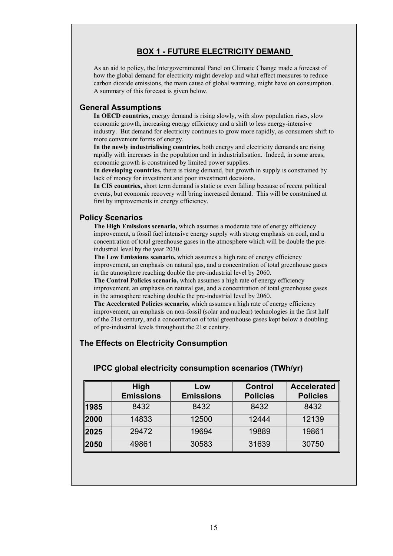# **BOX 1 - FUTURE ELECTRICITY DEMAND**

As an aid to policy, the Intergovernmental Panel on Climatic Change made a forecast of how the global demand for electricity might develop and what effect measures to reduce carbon dioxide emissions, the main cause of global warming, might have on consumption. A summary of this forecast is given below.

#### **General Assumptions**

**In OECD countries,** energy demand is rising slowly, with slow population rises, slow economic growth, increasing energy efficiency and a shift to less energy-intensive industry. But demand for electricity continues to grow more rapidly, as consumers shift to more convenient forms of energy.

**In the newly industrialising countries,** both energy and electricity demands are rising rapidly with increases in the population and in industrialisation. Indeed, in some areas, economic growth is constrained by limited power supplies.

**In developing countries,** there is rising demand, but growth in supply is constrained by lack of money for investment and poor investment decisions.

**In CIS countries,** short term demand is static or even falling because of recent political events, but economic recovery will bring increased demand. This will be constrained at first by improvements in energy efficiency.

### **Policy Scenarios**

**The High Emissions scenario,** which assumes a moderate rate of energy efficiency improvement, a fossil fuel intensive energy supply with strong emphasis on coal, and a concentration of total greenhouse gases in the atmosphere which will be double the preindustrial level by the year 2030.

**The Low Emissions scenario,** which assumes a high rate of energy efficiency improvement, an emphasis on natural gas, and a concentration of total greenhouse gases in the atmosphere reaching double the pre-industrial level by 2060.

**The Control Policies scenario,** which assumes a high rate of energy efficiency improvement, an emphasis on natural gas, and a concentration of total greenhouse gases in the atmosphere reaching double the pre-industrial level by 2060.

**The Accelerated Policies scenario,** which assumes a high rate of energy efficiency improvement, an emphasis on non-fossil (solar and nuclear) technologies in the first half of the 21st century, and a concentration of total greenhouse gases kept below a doubling of pre-industrial levels throughout the 21st century.

# **The Effects on Electricity Consumption**

|      | High             | Low              | <b>Control</b>  | <b>Accelerated</b> |
|------|------------------|------------------|-----------------|--------------------|
|      | <b>Emissions</b> | <b>Emissions</b> | <b>Policies</b> | <b>Policies</b>    |
| 1985 | 8432             | 8432             | 8432            | 8432               |
| 2000 | 14833            | 12500            | 12444           | 12139              |
| 2025 | 29472            | 19694            | 19889           | 19861              |
| 2050 | 49861            | 30583            | 31639           | 30750              |

### **IPCC global electricity consumption scenarios (TWh/yr)**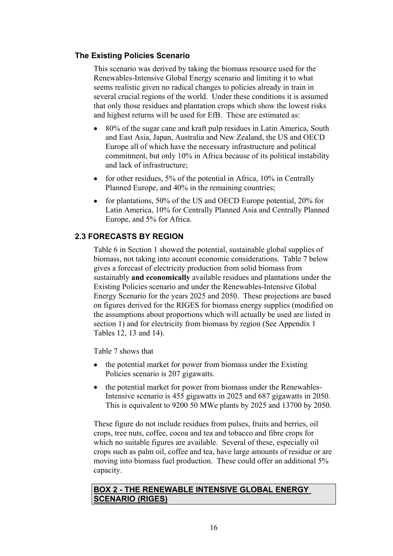# **The Existing Policies Scenario**

This scenario was derived by taking the biomass resource used for the Renewables-Intensive Global Energy scenario and limiting it to what seems realistic given no radical changes to policies already in train in several crucial regions of the world. Under these conditions it is assumed that only those residues and plantation crops which show the lowest risks and highest returns will be used for EfB. These are estimated as:

- 80% of the sugar cane and kraft pulp residues in Latin America, South and East Asia, Japan, Australia and New Zealand, the US and OECD Europe all of which have the necessary infrastructure and political commitment, but only 10% in Africa because of its political instability and lack of infrastructure;
- for other residues, 5% of the potential in Africa, 10% in Centrally Planned Europe, and 40% in the remaining countries;
- for plantations, 50% of the US and OECD Europe potential, 20% for Latin America, 10% for Centrally Planned Asia and Centrally Planned Europe, and 5% for Africa.

# **2.3 FORECASTS BY REGION**

Table 6 in Section 1 showed the potential, sustainable global supplies of biomass, not taking into account economic considerations. Table 7 below gives a forecast of electricity production from solid biomass from sustainably **and economically** available residues and plantations under the Existing Policies scenario and under the Renewables-Intensive Global Energy Scenario for the years 2025 and 2050. These projections are based on figures derived for the RIGES for biomass energy supplies (modified on the assumptions about proportions which will actually be used are listed in section 1) and for electricity from biomass by region (See Appendix 1 Tables 12, 13 and 14).

Table 7 shows that

- the potential market for power from biomass under the Existing Policies scenario is 207 gigawatts.
- the potential market for power from biomass under the Renewables-Intensive scenario is 455 gigawatts in 2025 and 687 gigawatts in 2050. This is equivalent to 9200 50 MWe plants by 2025 and 13700 by 2050.

These figure do not include residues from pulses, fruits and berries, oil crops, tree nuts, coffee, cocoa and tea and tobacco and fibre crops for which no suitable figures are available. Several of these, especially oil crops such as palm oil, coffee and tea, have large amounts of residue or are moving into biomass fuel production. These could offer an additional 5% capacity.

# **BOX 2 - THE RENEWABLE INTENSIVE GLOBAL ENERGY SCENARIO (RIGES)**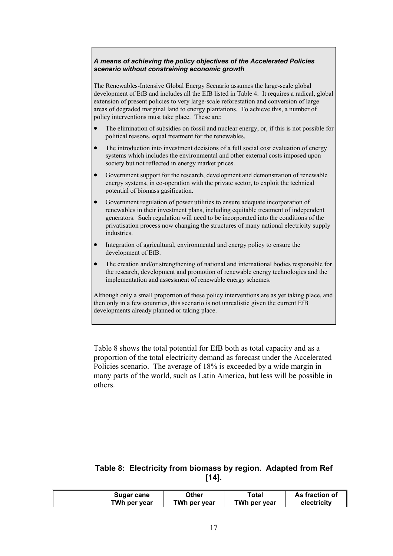#### *A means of achieving the policy objectives of the Accelerated Policies scenario without constraining economic growth*

The Renewables-Intensive Global Energy Scenario assumes the large-scale global development of EfB and includes all the EfB listed in Table 4. It requires a radical, global extension of present policies to very large-scale reforestation and conversion of large areas of degraded marginal land to energy plantations. To achieve this, a number of policy interventions must take place. These are:

- The elimination of subsidies on fossil and nuclear energy, or, if this is not possible for political reasons, equal treatment for the renewables.
- The introduction into investment decisions of a full social cost evaluation of energy systems which includes the environmental and other external costs imposed upon society but not reflected in energy market prices.
- Government support for the research, development and demonstration of renewable energy systems, in co-operation with the private sector, to exploit the technical potential of biomass gasification.
- Government regulation of power utilities to ensure adequate incorporation of renewables in their investment plans, including equitable treatment of independent generators. Such regulation will need to be incorporated into the conditions of the privatisation process now changing the structures of many national electricity supply industries.
- Integration of agricultural, environmental and energy policy to ensure the development of EfB.
- The creation and/or strengthening of national and international bodies responsible for the research, development and promotion of renewable energy technologies and the implementation and assessment of renewable energy schemes.

Although only a small proportion of these policy interventions are as yet taking place, and then only in a few countries, this scenario is not unrealistic given the current EfB developments already planned or taking place.

Table 8 shows the total potential for EfB both as total capacity and as a proportion of the total electricity demand as forecast under the Accelerated Policies scenario. The average of 18% is exceeded by a wide margin in many parts of the world, such as Latin America, but less will be possible in others.

# **Table 8: Electricity from biomass by region. Adapted from Ref [14].**

| Sugar cane   | Other        | ™otal        | As fraction of |
|--------------|--------------|--------------|----------------|
| TWh per year | TWh per year | TWh per year | electricity    |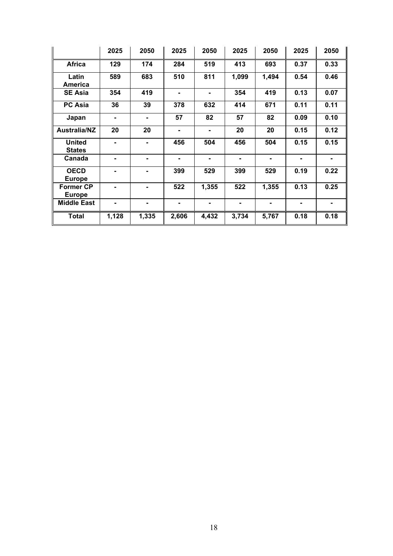|                                   | 2025  | 2050           | 2025           | 2050  | 2025  | 2050           | 2025 | 2050 |
|-----------------------------------|-------|----------------|----------------|-------|-------|----------------|------|------|
| <b>Africa</b>                     | 129   | 174            | 284            | 519   | 413   | 693            | 0.37 | 0.33 |
| Latin<br><b>America</b>           | 589   | 683            | 510            | 811   | 1,099 | 1,494          | 0.54 | 0.46 |
| <b>SE Asia</b>                    | 354   | 419            | ۰              |       | 354   | 419            | 0.13 | 0.07 |
| <b>PC Asia</b>                    | 36    | 39             | 378            | 632   | 414   | 671            | 0.11 | 0.11 |
| Japan                             |       | ۰              | 57             | 82    | 57    | 82             | 0.09 | 0.10 |
| <b>Australia/NZ</b>               | 20    | 20             | ۰              | ۰     | 20    | 20             | 0.15 | 0.12 |
| <b>United</b><br><b>States</b>    |       | ۰              | 456            | 504   | 456   | 504            | 0.15 | 0.15 |
| Canada                            |       | ۰.             | $\blacksquare$ |       |       | $\blacksquare$ |      |      |
| <b>OECD</b><br><b>Europe</b>      |       |                | 399            | 529   | 399   | 529            | 0.19 | 0.22 |
| <b>Former CP</b><br><b>Europe</b> |       | $\blacksquare$ | 522            | 1,355 | 522   | 1,355          | 0.13 | 0.25 |
| <b>Middle East</b>                | Ξ.    | ۰              | $\blacksquare$ | Ξ.    |       | $\blacksquare$ | ٠    | ۰    |
| <b>Total</b>                      | 1,128 | 1,335          | 2,606          | 4,432 | 3,734 | 5,767          | 0.18 | 0.18 |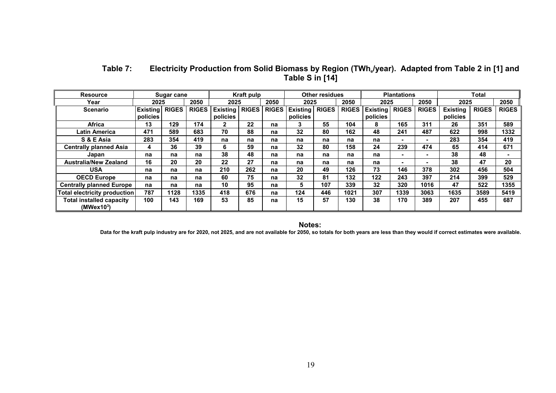| <b>Resource</b>                                           |                             | <b>Sugar cane</b> |              |                      | Kraft pulp   |              |                             | <b>Other residues</b> |              |                             | <b>Plantations</b> |              |                             | <b>Total</b> |              |
|-----------------------------------------------------------|-----------------------------|-------------------|--------------|----------------------|--------------|--------------|-----------------------------|-----------------------|--------------|-----------------------------|--------------------|--------------|-----------------------------|--------------|--------------|
| Year                                                      | 2025                        |                   | 2050         | 2025                 |              | 2050         | 2025                        |                       | 2050         | 2025                        |                    | 2050         | 2025                        |              | 2050         |
| <b>Scenario</b>                                           | <b>Existing</b><br>policies | <b>RIGES</b>      | <b>RIGES</b> | Existing<br>policies | <b>RIGES</b> | <b>RIGES</b> | <b>Existing</b><br>policies | <b>RIGES</b>          | <b>RIGES</b> | <b>Existing</b><br>policies | <b>RIGES</b>       | <b>RIGES</b> | <b>Existing</b><br>policies | <b>RIGES</b> | <b>RIGES</b> |
| <b>Africa</b>                                             | 13                          | 129               | 174          | $\mathbf{2}$         | 22           | na           |                             | 55                    | 104          | 8                           | 165                | 311          | 26                          | 351          | 589          |
| Latin America                                             | 471                         | 589               | 683          | 70                   | 88           | na           | 32                          | 80                    | 162          | 48                          | 241                | 487          | 622                         | 998          | 1332         |
| S & E Asia                                                | 283                         | 354               | 419          | na                   | na           | na           | na                          | na                    | na           | na                          | -                  |              | 283                         | 354          | 419          |
| <b>Centrally planned Asia</b>                             | 4                           | 36                | 39           | 6                    | 59           | na           | 32                          | 80                    | 158          | 24                          | 239                | 474          | 65                          | 414          | 671          |
| Japan                                                     | na                          | na                | na           | 38                   | 48           | na           | na                          | na                    | na           | na                          |                    |              | 38                          | 48           |              |
| <b>Australia/New Zealand</b>                              | 16                          | 20                | 20           | 22                   | 27           | na           | na                          | na                    | na           | na                          |                    |              | 38                          | 47           | 20           |
| <b>USA</b>                                                | na                          | na                | na           | 210                  | 262          | na           | 20                          | 49                    | 126          | 73                          | 146                | 378          | 302                         | 456          | 504          |
| <b>OECD Europe</b>                                        | na                          | na                | na           | 60                   | 75           | na           | 32                          | 81                    | 132          | 122                         | 243                | 397          | 214                         | 399          | 529          |
| <b>Centrally planned Europe</b>                           | na                          | na                | na           | 10                   | 95           | na           | 5.                          | 107                   | 339          | 32                          | 320                | 1016         | 47                          | 522          | 1355         |
| Total electricity production                              | 787                         | 1128              | 1335         | 418                  | 676          | na           | 124                         | 446                   | 1021         | 307                         | 1339               | 3063         | 1635                        | 3589         | 5419         |
| <b>Total installed capacity</b><br>(MWex10 <sup>3</sup> ) | 100                         | 143               | 169          | 53                   | 85           | na           | 15                          | 57                    | 130          | 38                          | 170                | 389          | 207                         | 455          | 687          |

# Table 7: Electricity Production from Solid Biomass by Region (TWh<sub>e</sub>/year). Adapted from Table 2 in [1] and **Table S in [14]**

**Notes:** 

**Data for the kraft pulp industry are for 2020, not 2025, and are not available for 2050, so totals for both years are less than they would if correct estimates were available.**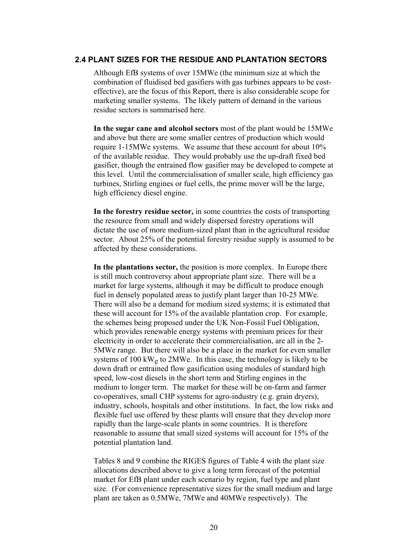### **2.4 PLANT SIZES FOR THE RESIDUE AND PLANTATION SECTORS**

Although EfB systems of over 15MWe (the minimum size at which the combination of fluidised bed gasifiers with gas turbines appears to be costeffective), are the focus of this Report, there is also considerable scope for marketing smaller systems. The likely pattern of demand in the various residue sectors is summarised here.

**In the sugar cane and alcohol sectors** most of the plant would be 15MWe and above but there are some smaller centres of production which would require 1-15MWe systems. We assume that these account for about 10% of the available residue. They would probably use the up-draft fixed bed gasifier, though the entrained flow gasifier may be developed to compete at this level. Until the commercialisation of smaller scale, high efficiency gas turbines, Stirling engines or fuel cells, the prime mover will be the large, high efficiency diesel engine.

**In the forestry residue sector,** in some countries the costs of transporting the resource from small and widely dispersed forestry operations will dictate the use of more medium-sized plant than in the agricultural residue sector. About 25% of the potential forestry residue supply is assumed to be affected by these considerations.

**In the plantations sector,** the position is more complex. In Europe there is still much controversy about appropriate plant size. There will be a market for large systems, although it may be difficult to produce enough fuel in densely populated areas to justify plant larger than 10-25 MWe. There will also be a demand for medium sized systems; it is estimated that these will account for 15% of the available plantation crop. For example, the schemes being proposed under the UK Non-Fossil Fuel Obligation, which provides renewable energy systems with premium prices for their electricity in order to accelerate their commercialisation, are all in the 2- 5MWe range. But there will also be a place in the market for even smaller systems of  $100 \text{ kW}_e$  to  $2\text{MWe}$ . In this case, the technology is likely to be down draft or entrained flow gasification using modules of standard high speed, low-cost diesels in the short term and Stirling engines in the medium to longer term. The market for these will be on-farm and farmer co-operatives, small CHP systems for agro-industry (e.g. grain dryers), industry, schools, hospitals and other institutions. In fact, the low risks and flexible fuel use offered by these plants will ensure that they develop more rapidly than the large-scale plants in some countries. It is therefore reasonable to assume that small sized systems will account for 15% of the potential plantation land.

Tables 8 and 9 combine the RIGES figures of Table 4 with the plant size allocations described above to give a long term forecast of the potential market for EfB plant under each scenario by region, fuel type and plant size. (For convenience representative sizes for the small medium and large plant are taken as 0.5MWe, 7MWe and 40MWe respectively). The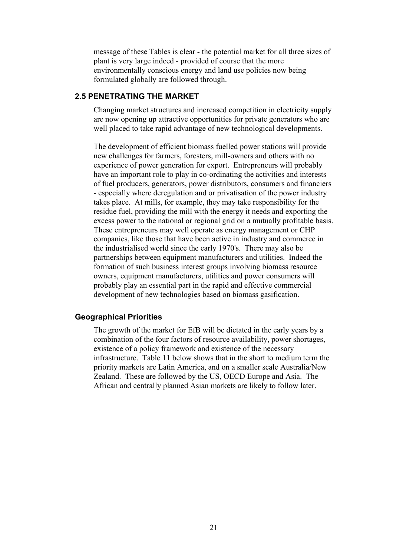message of these Tables is clear - the potential market for all three sizes of plant is very large indeed - provided of course that the more environmentally conscious energy and land use policies now being formulated globally are followed through.

# **2.5 PENETRATING THE MARKET**

Changing market structures and increased competition in electricity supply are now opening up attractive opportunities for private generators who are well placed to take rapid advantage of new technological developments.

The development of efficient biomass fuelled power stations will provide new challenges for farmers, foresters, mill-owners and others with no experience of power generation for export. Entrepreneurs will probably have an important role to play in co-ordinating the activities and interests of fuel producers, generators, power distributors, consumers and financiers - especially where deregulation and or privatisation of the power industry takes place. At mills, for example, they may take responsibility for the residue fuel, providing the mill with the energy it needs and exporting the excess power to the national or regional grid on a mutually profitable basis. These entrepreneurs may well operate as energy management or CHP companies, like those that have been active in industry and commerce in the industrialised world since the early 1970's. There may also be partnerships between equipment manufacturers and utilities. Indeed the formation of such business interest groups involving biomass resource owners, equipment manufacturers, utilities and power consumers will probably play an essential part in the rapid and effective commercial development of new technologies based on biomass gasification.

### **Geographical Priorities**

The growth of the market for EfB will be dictated in the early years by a combination of the four factors of resource availability, power shortages, existence of a policy framework and existence of the necessary infrastructure. Table 11 below shows that in the short to medium term the priority markets are Latin America, and on a smaller scale Australia/New Zealand. These are followed by the US, OECD Europe and Asia. The African and centrally planned Asian markets are likely to follow later.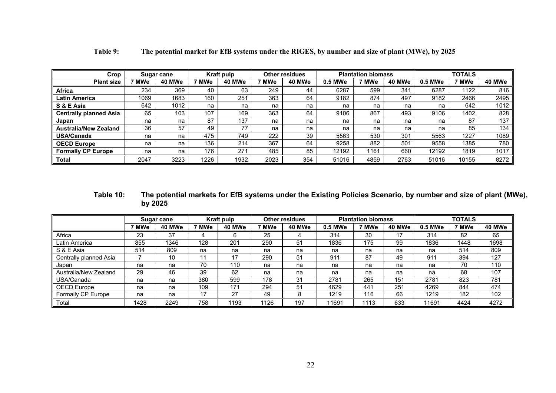| Crop                          |       | Sugar cane |       | Kraft pulp |       | <b>Other residues</b> |         | <b>Plantation biomass</b> |        |         | <b>TOTALS</b> |        |
|-------------------------------|-------|------------|-------|------------|-------|-----------------------|---------|---------------------------|--------|---------|---------------|--------|
| <b>Plant size</b>             | 7 MWe | 40 MWe     | 7 MWe | 40 MWe     | 7 MWe | 40 MWe                | 0.5 MWe | 7 MWe                     | 40 MWe | 0.5 MWe | ' MWe         | 40 MWe |
| <b>Africa</b>                 | 234   | 369        | 40    | 63         | 249   | 44                    | 6287    | 599                       | 341    | 6287    | 1122          | 816    |
| <b>Latin America</b>          | 1069  | 1683       | 160   | 251        | 363   | 64                    | 9182    | 874                       | 497    | 9182    | 2466          | 2495   |
| S & E Asia                    | 642   | 1012       | na    | na         | na    | na                    | na      | na                        | na     | na      | 642           | 1012   |
| <b>Centrally planned Asia</b> | 65    | 103        | 107   | 169        | 363   | 64                    | 9106    | 867                       | 493    | 9106    | 1402          | 828    |
| Japan                         | na    | na         | 87    | 137        | na    | na                    | na      | na                        | na     | na      | 87            | 137    |
| <b>Australia/New Zealand</b>  | 36    | 57         | 49    | 77         | na    | na                    | na      | na                        | na     | na      | 85            | 134    |
| <b>USA/Canada</b>             | na    | na         | 475   | 749        | 222   | 39                    | 5563    | 530                       | 301    | 5563    | 1227          | 1089   |
| <b>OECD Europe</b>            | na    | na         | 136   | 214        | 367   | 64                    | 9258    | 882                       | 501    | 9558    | 1385          | 780    |
| <b>Formally CP Europe</b>     | na    | na         | 176   | 271        | 485   | 85                    | 12192   | 1161                      | 660    | 12192   | 1819          | 1017   |
| <b>Total</b>                  | 2047  | 3223       | 1226  | 1932       | 2023  | 354                   | 51016   | 4859                      | 2763   | 51016   | 10155         | 8272   |

**Table 9: The potential market for EfB systems under the RIGES, by number and size of plant (MWe), by 2025**

### **Table 10: The potential markets for EfB systems under the Existing Policies Scenario, by number and size of plant (MWe), by 2025**

|                        |       | Sugar cane |       | Kraft pulp |       | <b>Other residues</b> |         | <b>Plantation biomass</b> |        |         | <b>TOTALS</b> |        |
|------------------------|-------|------------|-------|------------|-------|-----------------------|---------|---------------------------|--------|---------|---------------|--------|
|                        | 7 MWe | 40 MWe     | 7 MWe | 40 MWe     | 7 MWe | 40 MWe                | 0.5 MWe | 7 MWe                     | 40 MWe | 0.5 MWe | 7 MWe         | 40 MWe |
| Africa                 | 23    | 37         | 4     | 6          | 25    |                       | 314     | 30                        | 17     | 314     | 82            | 65     |
| Latin America          | 855   | 1346       | 128   | 201        | 290   | 51                    | 1836    | 175                       | 99     | 1836    | 1448          | 1698   |
| S & E Asia             | 514   | 809        | na    | na         | na    | na                    | na      | na                        | na     | na      | 514           | 809    |
| Centrally planned Asia |       | 10         | 11    | 17         | 290   | 51                    | 911     | 87                        | 49     | 911     | 394           | 127    |
| Japan                  | na    | na         | 70    | 110        | na    | na                    | na      | na                        | na     | na      | 70            | 110    |
| Australia/New Zealand  | 29    | 46         | 39    | 62         | na    | na                    | na      | na                        | na     | na      | 68            | 107    |
| USA/Canada             | na    | na         | 380   | 599        | 178   | 31                    | 2781    | 265                       | 151    | 2781    | 823           | 781    |
| OECD Europe            | na    | na         | 109   | 171        | 294   | 51                    | 4629    | 441                       | 251    | 4269    | 844           | 474    |
| Formally CP Europe     | na    | na         | 17    | 27         | 49    | 8                     | 1219    | 116                       | 66     | 1219    | 182           | 102    |
| Total                  | 1428  | 2249       | 758   | 1193       | 1126  | 197                   | 11691   | 1113                      | 633    | 11691   | 4424          | 4272   |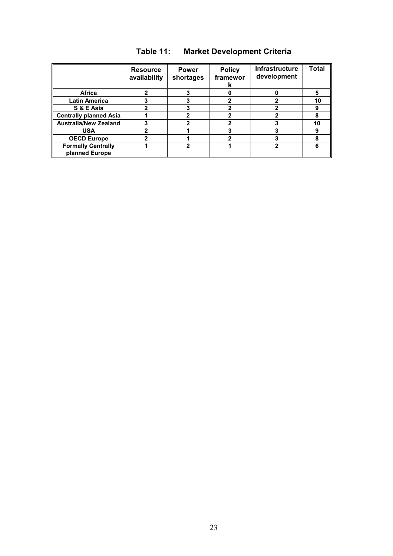|                                             | <b>Resource</b><br>availability | <b>Power</b><br>shortages | <b>Policy</b><br>framewor | Infrastructure<br>development | <b>Total</b> |
|---------------------------------------------|---------------------------------|---------------------------|---------------------------|-------------------------------|--------------|
| Africa                                      |                                 |                           |                           |                               |              |
| <b>Latin America</b>                        |                                 |                           |                           |                               | 10           |
| S & E Asia                                  |                                 |                           |                           |                               | 9            |
| <b>Centrally planned Asia</b>               |                                 |                           |                           |                               |              |
| <b>Australia/New Zealand</b>                |                                 |                           |                           |                               | 10           |
| <b>USA</b>                                  |                                 |                           |                           |                               | 9            |
| <b>OECD Europe</b>                          |                                 |                           |                           |                               | 8            |
| <b>Formally Centrally</b><br>planned Europe |                                 |                           |                           | າ                             |              |

# **Table 11: Market Development Criteria**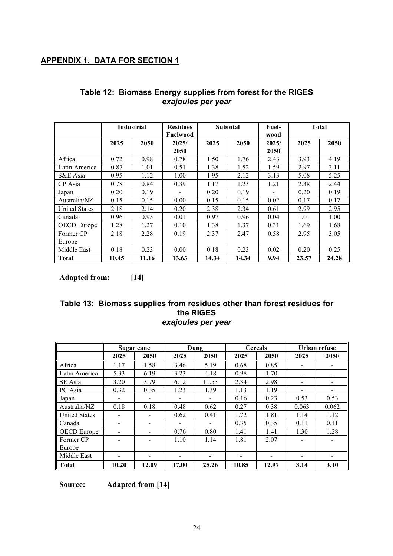# **APPENDIX 1. DATA FOR SECTION 1**

|                      | <b>Industrial</b> |       | <b>Residues</b><br>Fuelwood |       | <b>Subtotal</b> | Fuel-<br>wood | <b>Total</b> |       |
|----------------------|-------------------|-------|-----------------------------|-------|-----------------|---------------|--------------|-------|
|                      | 2025              | 2050  | 2025/<br>2050               | 2025  | 2050            | 2025/<br>2050 | 2025         | 2050  |
| Africa               | 0.72              | 0.98  | 0.78                        | 1.50  | 1.76            | 2.43          | 3.93         | 4.19  |
| Latin America        | 0.87              | 1.01  | 0.51                        | 1.38  | 1.52            | 1.59          | 2.97         | 3.11  |
| S&E Asia             | 0.95              | 1.12  | 1.00                        | 1.95  | 2.12            | 3.13          | 5.08         | 5.25  |
| CP Asia              | 0.78              | 0.84  | 0.39                        | 1.17  | 1.23            | 1.21          | 2.38         | 2.44  |
| Japan                | 0.20              | 0.19  |                             | 0.20  | 0.19            |               | 0.20         | 0.19  |
| Australia/NZ         | 0.15              | 0.15  | 0.00                        | 0.15  | 0.15            | 0.02          | 0.17         | 0.17  |
| <b>United States</b> | 2.18              | 2.14  | 0.20                        | 2.38  | 2.34            | 0.61          | 2.99         | 2.95  |
| Canada               | 0.96              | 0.95  | 0.01                        | 0.97  | 0.96            | 0.04          | 1.01         | 1.00  |
| <b>OECD</b> Europe   | 1.28              | 1.27  | 0.10                        | 1.38  | 1.37            | 0.31          | 1.69         | 1.68  |
| Former CP            | 2.18              | 2.28  | 0.19                        | 2.37  | 2.47            | 0.58          | 2.95         | 3.05  |
| Europe               |                   |       |                             |       |                 |               |              |       |
| Middle East          | 0.18              | 0.23  | 0.00                        | 0.18  | 0.23            | 0.02          | 0.20         | 0.25  |
| <b>Total</b>         | 10.45             | 11.16 | 13.63                       | 14.34 | 14.34           | 9.94          | 23.57        | 24.28 |

# **Table 12: Biomass Energy supplies from forest for the RIGES**  *exajoules per year*

**Adapted from: [14]** 

# **Table 13: Biomass supplies from residues other than forest residues for the RIGES**  *exajoules per year*

|                      |       | Sugar cane |       | Dung  |       | <b>Cereals</b> |       | Urban refuse |
|----------------------|-------|------------|-------|-------|-------|----------------|-------|--------------|
|                      | 2025  | 2050       | 2025  | 2050  | 2025  | 2050           | 2025  | 2050         |
| Africa               | 1.17  | 1.58       | 3.46  | 5.19  | 0.68  | 0.85           |       |              |
| Latin America        | 5.33  | 6.19       | 3.23  | 4.18  | 0.98  | 1.70           |       |              |
| SE Asia              | 3.20  | 3.79       | 6.12  | 11.53 | 2.34  | 2.98           |       |              |
| PC Asia              | 0.32  | 0.35       | 1.23  | 1.39  | 1.13  | 1.19           |       |              |
| Japan                |       |            |       |       | 0.16  | 0.23           | 0.53  | 0.53         |
| Australia/NZ         | 0.18  | 0.18       | 0.48  | 0.62  | 0.27  | 0.38           | 0.063 | 0.062        |
| <b>United States</b> |       |            | 0.62  | 0.41  | 1.72  | 1.81           | 1.14  | 1.12         |
| Canada               |       |            |       |       | 0.35  | 0.35           | 0.11  | 0.11         |
| <b>OECD</b> Europe   |       |            | 0.76  | 0.80  | 1.41  | 1.41           | 1.30  | 1.28         |
| Former CP            |       |            | 1.10  | 1.14  | 1.81  | 2.07           |       |              |
| Europe               |       |            |       |       |       |                |       |              |
| Middle East          |       |            |       |       |       |                |       |              |
| <b>Total</b>         | 10.20 | 12.09      | 17.00 | 25.26 | 10.85 | 12.97          | 3.14  | 3.10         |

**Source: Adapted from [14]**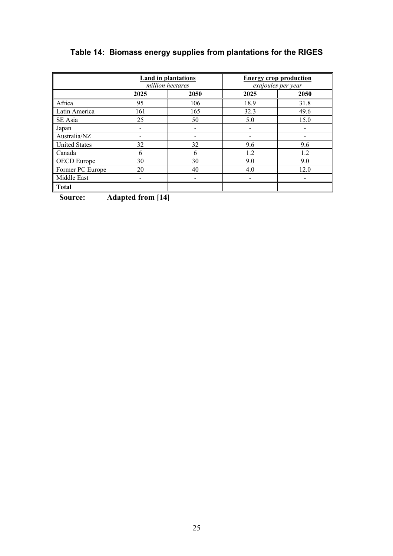# **Table 14: Biomass energy supplies from plantations for the RIGES**

|                      | million hectares | Land in plantations |      | <b>Energy crop production</b><br>exajoules per year |
|----------------------|------------------|---------------------|------|-----------------------------------------------------|
|                      | 2025             | 2050                | 2025 | 2050                                                |
| Africa               | 95               | 106                 | 18.9 | 31.8                                                |
| Latin America        | 161              | 165                 | 32.3 | 49.6                                                |
| SE Asia              | 25               | 50                  | 5.0  | 15.0                                                |
| Japan                |                  |                     |      |                                                     |
| Australia/NZ         |                  |                     |      |                                                     |
| <b>United States</b> | 32               | 32                  | 9.6  | 9.6                                                 |
| Canada               | 6                | 6                   | 1.2  | 1.2                                                 |
| <b>OECD</b> Europe   | 30               | 30                  | 9.0  | 9.0                                                 |
| Former PC Europe     | 20               | 40                  | 4.0  | 12.0                                                |
| Middle East          |                  |                     |      |                                                     |
| <b>Total</b>         |                  |                     |      |                                                     |

**Source: Adapted from [14]** 

25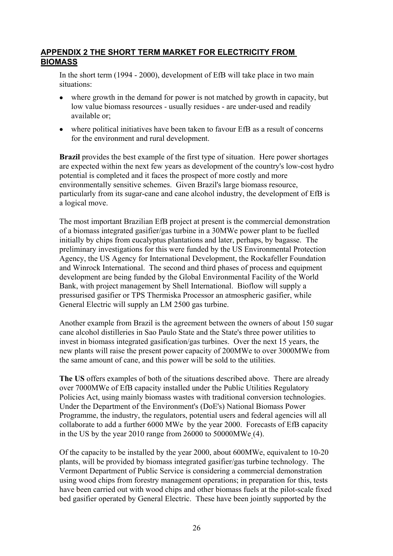# **APPENDIX 2 THE SHORT TERM MARKET FOR ELECTRICITY FROM BIOMASS**

In the short term (1994 - 2000), development of EfB will take place in two main situations:

- where growth in the demand for power is not matched by growth in capacity, but low value biomass resources - usually residues - are under-used and readily available or;
- where political initiatives have been taken to favour EfB as a result of concerns for the environment and rural development.

**Brazil** provides the best example of the first type of situation. Here power shortages are expected within the next few years as development of the country's low-cost hydro potential is completed and it faces the prospect of more costly and more environmentally sensitive schemes. Given Brazil's large biomass resource, particularly from its sugar-cane and cane alcohol industry, the development of EfB is a logical move.

The most important Brazilian EfB project at present is the commercial demonstration of a biomass integrated gasifier/gas turbine in a 30MWe power plant to be fuelled initially by chips from eucalyptus plantations and later, perhaps, by bagasse. The preliminary investigations for this were funded by the US Environmental Protection Agency, the US Agency for International Development, the Rockafeller Foundation and Winrock International. The second and third phases of process and equipment development are being funded by the Global Environmental Facility of the World Bank, with project management by Shell International. Bioflow will supply a pressurised gasifier or TPS Thermiska Processor an atmospheric gasifier, while General Electric will supply an LM 2500 gas turbine.

Another example from Brazil is the agreement between the owners of about 150 sugar cane alcohol distilleries in Sao Paulo State and the State's three power utilities to invest in biomass integrated gasification/gas turbines. Over the next 15 years, the new plants will raise the present power capacity of 200MWe to over 3000MWe from the same amount of cane, and this power will be sold to the utilities.

**The US** offers examples of both of the situations described above. There are already over 7000MWe of EfB capacity installed under the Public Utilities Regulatory Policies Act, using mainly biomass wastes with traditional conversion technologies. Under the Department of the Environment's (DoE's) National Biomass Power Programme, the industry, the regulators, potential users and federal agencies will all collaborate to add a further 6000 MWe by the year 2000. Forecasts of EfB capacity in the US by the year 2010 range from 26000 to 50000MWe. (4).

Of the capacity to be installed by the year 2000, about 600MWe, equivalent to 10-20 plants, will be provided by biomass integrated gasifier/gas turbine technology. The Vermont Department of Public Service is considering a commercial demonstration using wood chips from forestry management operations; in preparation for this, tests have been carried out with wood chips and other biomass fuels at the pilot-scale fixed bed gasifier operated by General Electric. These have been jointly supported by the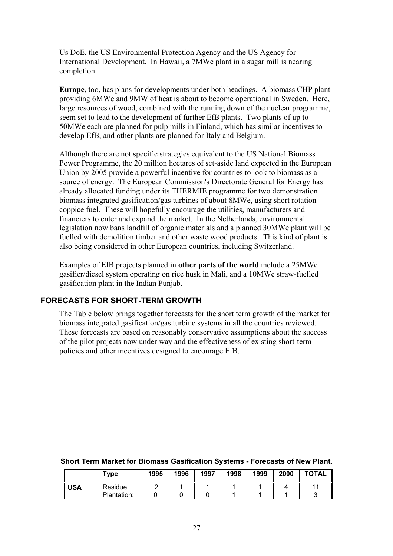Us DoE, the US Environmental Protection Agency and the US Agency for International Development. In Hawaii, a 7MWe plant in a sugar mill is nearing completion.

**Europe,** too, has plans for developments under both headings. A biomass CHP plant providing 6MWe and 9MW of heat is about to become operational in Sweden. Here, large resources of wood, combined with the running down of the nuclear programme, seem set to lead to the development of further EfB plants. Two plants of up to 50MWe each are planned for pulp mills in Finland, which has similar incentives to develop EfB, and other plants are planned for Italy and Belgium.

Although there are not specific strategies equivalent to the US National Biomass Power Programme, the 20 million hectares of set-aside land expected in the European Union by 2005 provide a powerful incentive for countries to look to biomass as a source of energy. The European Commission's Directorate General for Energy has already allocated funding under its THERMIE programme for two demonstration biomass integrated gasification/gas turbines of about 8MWe, using short rotation coppice fuel. These will hopefully encourage the utilities, manufacturers and financiers to enter and expand the market. In the Netherlands, environmental legislation now bans landfill of organic materials and a planned 30MWe plant will be fuelled with demolition timber and other waste wood products. This kind of plant is also being considered in other European countries, including Switzerland.

Examples of EfB projects planned in **other parts of the world** include a 25MWe gasifier/diesel system operating on rice husk in Mali, and a 10MWe straw-fuelled gasification plant in the Indian Punjab.

### **FORECASTS FOR SHORT-TERM GROWTH**

The Table below brings together forecasts for the short term growth of the market for biomass integrated gasification/gas turbine systems in all the countries reviewed. These forecasts are based on reasonably conservative assumptions about the success of the pilot projects now under way and the effectiveness of existing short-term policies and other incentives designed to encourage EfB.

|            | Type                    | 1995 | 1996 | 1997 | 1998 | 1999 | 2000 | <b>TOTAL</b> |
|------------|-------------------------|------|------|------|------|------|------|--------------|
| <b>USA</b> | Residue:<br>Plantation: |      |      |      |      |      |      |              |

#### **Short Term Market for Biomass Gasification Systems - Forecasts of New Plant.**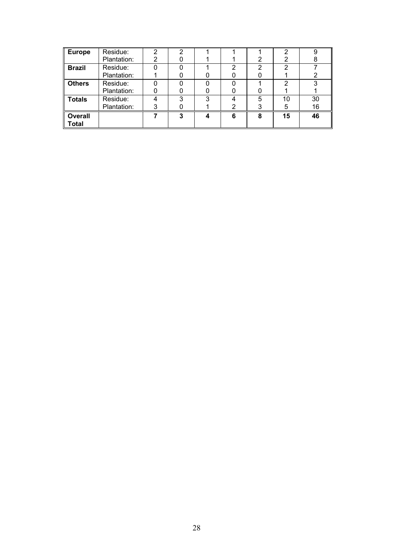| <b>Europe</b>  | Residue:    | 2 | ◠ |   |   |   | 2  | 9  |
|----------------|-------------|---|---|---|---|---|----|----|
|                | Plantation: | 2 |   |   |   | າ | 2  | 8  |
| <b>Brazil</b>  | Residue:    |   |   |   |   | າ | 2  |    |
|                | Plantation: |   |   |   |   |   |    |    |
| <b>Others</b>  | Residue:    |   |   |   |   |   | 2  | 3  |
|                | Plantation: |   |   |   |   |   |    |    |
| <b>Totals</b>  | Residue:    | 4 | ◠ | 3 |   | 5 | 10 | 30 |
|                | Plantation: | 3 |   |   |   |   | 5  | 16 |
| <b>Overall</b> |             |   | ≏ |   | 6 | 8 | 15 | 46 |
| <b>Total</b>   |             |   |   |   |   |   |    |    |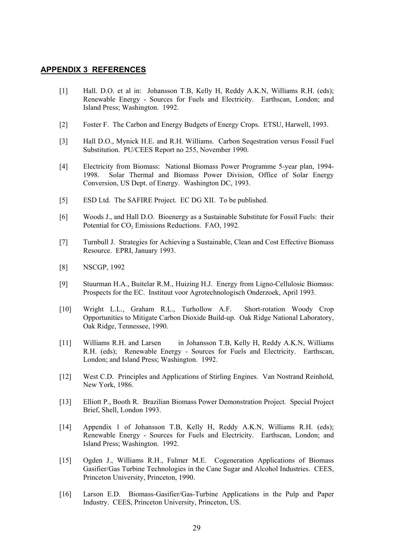### **APPENDIX 3 REFERENCES**

- [1] Hall. D.O. et al in: Johansson T.B, Kelly H, Reddy A.K.N, Williams R.H. (eds); Renewable Energy - Sources for Fuels and Electricity. Earthscan, London; and Island Press; Washington. 1992.
- [2] Foster F. The Carbon and Energy Budgets of Energy Crops. ETSU, Harwell, 1993.
- [3] Hall D.O., Mynick H.E. and R.H. Williams. Carbon Seqestration versus Fossil Fuel Substitution. PU/CEES Report no 255, November 1990.
- [4] Electricity from Biomass: National Biomass Power Programme 5-year plan, 1994- 1998. Solar Thermal and Biomass Power Division, Office of Solar Energy Conversion, US Dept. of Energy. Washington DC, 1993.
- [5] ESD Ltd. The SAFIRE Project. EC DG XII. To be published.
- [6] Woods J., and Hall D.O. Bioenergy as a Sustainable Substitute for Fossil Fuels: their Potential for CO<sub>2</sub> Emissions Reductions. FAO, 1992.
- [7] Turnbull J. Strategies for Achieving a Sustainable, Clean and Cost Effective Biomass Resource. EPRI, January 1993.
- [8] NSCGP, 1992
- [9] Stuurman H.A., Buitelar R.M., Huizing H.J. Energy from Ligno-Cellulosic Biomass: Prospects for the EC. Instituut voor Agrotechnologisch Onderzoek, April 1993.
- [10] Wright L.L., Graham R.L., Turhollow A.F. Short-rotation Woody Crop Opportunities to Mitigate Carbon Dioxide Build-up. Oak Ridge National Laboratory, Oak Ridge, Tennessee, 1990.
- [11] Williams R.H. and Larsen in Johansson T.B, Kelly H, Reddy A.K.N, Williams R.H. (eds); Renewable Energy - Sources for Fuels and Electricity. Earthscan, London; and Island Press; Washington. 1992.
- [12] West C.D. Principles and Applications of Stirling Engines. Van Nostrand Reinhold, New York, 1986.
- [13] Elliott P., Booth R. Brazilian Biomass Power Demonstration Project. Special Project Brief, Shell, London 1993.
- [14] Appendix 1 of Johansson T.B, Kelly H, Reddy A.K.N, Williams R.H. (eds); Renewable Energy - Sources for Fuels and Electricity. Earthscan, London; and Island Press; Washington. 1992.
- [15] Ogden J., Williams R.H., Fulmer M.E. Cogeneration Applications of Biomass Gasifier/Gas Turbine Technologies in the Cane Sugar and Alcohol Industries. CEES, Princeton University, Princeton, 1990.
- [16] Larson E.D. Biomass-Gasifier/Gas-Turbine Applications in the Pulp and Paper Industry. CEES, Princeton University, Princeton, US.